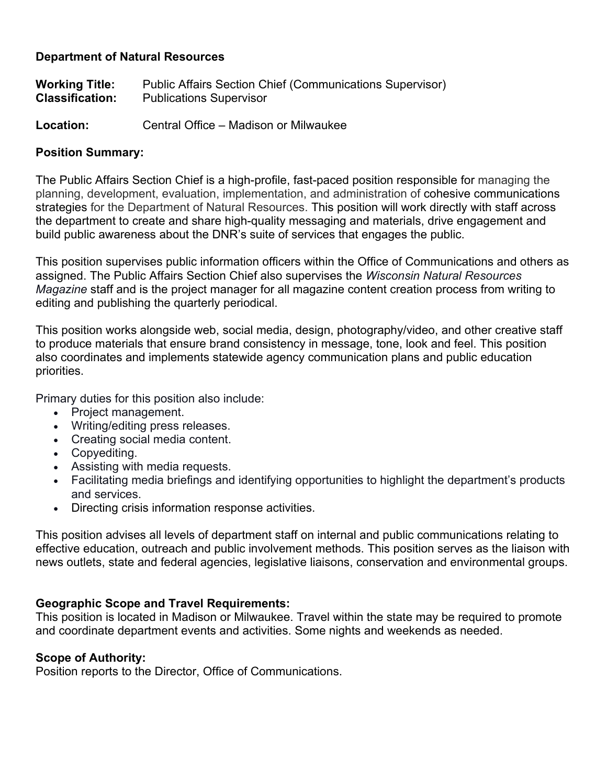### **Department of Natural Resources**

| <b>Working Title:</b>  | <b>Public Affairs Section Chief (Communications Supervisor)</b> |
|------------------------|-----------------------------------------------------------------|
| <b>Classification:</b> | <b>Publications Supervisor</b>                                  |

**Location:** Central Office – Madison or Milwaukee

### **Position Summary:**

The Public Affairs Section Chief is a high-profile, fast-paced position responsible for managing the planning, development, evaluation, implementation, and administration of cohesive communications strategies for the Department of Natural Resources. This position will work directly with staff across the department to create and share high-quality messaging and materials, drive engagement and build public awareness about the DNR's suite of services that engages the public.

This position supervises public information officers within the Office of Communications and others as assigned. The Public Affairs Section Chief also supervises the *Wisconsin Natural Resources Magazine* staff and is the project manager for all magazine content creation process from writing to editing and publishing the quarterly periodical.

This position works alongside web, social media, design, photography/video, and other creative staff to produce materials that ensure brand consistency in message, tone, look and feel. This position also coordinates and implements statewide agency communication plans and public education priorities.

Primary duties for this position also include:

- Project management.
- Writing/editing press releases.
- Creating social media content.
- Copyediting.
- Assisting with media requests.
- Facilitating media briefings and identifying opportunities to highlight the department's products and services.
- Directing crisis information response activities.

This position advises all levels of department staff on internal and public communications relating to effective education, outreach and public involvement methods. This position serves as the liaison with news outlets, state and federal agencies, legislative liaisons, conservation and environmental groups.

#### **Geographic Scope and Travel Requirements:**

This position is located in Madison or Milwaukee. Travel within the state may be required to promote and coordinate department events and activities. Some nights and weekends as needed.

#### **Scope of Authority:**

Position reports to the Director, Office of Communications.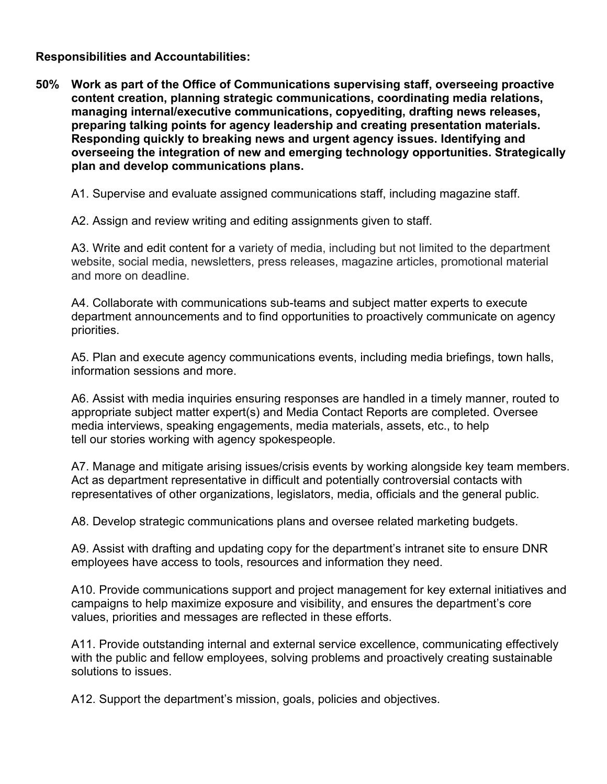**Responsibilities and Accountabilities:**

**50% Work as part of the Office of Communications supervising staff, overseeing proactive content creation, planning strategic communications, coordinating media relations, managing internal/executive communications, copyediting, drafting news releases, preparing talking points for agency leadership and creating presentation materials. Responding quickly to breaking news and urgent agency issues. Identifying and overseeing the integration of new and emerging technology opportunities. Strategically plan and develop communications plans.**

A1. Supervise and evaluate assigned communications staff, including magazine staff.

A2. Assign and review writing and editing assignments given to staff.

A3. Write and edit content for a variety of media, including but not limited to the department website, social media, newsletters, press releases, magazine articles, promotional material and more on deadline.

A4. Collaborate with communications sub-teams and subject matter experts to execute department announcements and to find opportunities to proactively communicate on agency priorities.

A5. Plan and execute agency communications events, including media briefings, town halls, information sessions and more.

A6. Assist with media inquiries ensuring responses are handled in a timely manner, routed to appropriate subject matter expert(s) and Media Contact Reports are completed. Oversee media interviews, speaking engagements, media materials, assets, etc., to help tell our stories working with agency spokespeople.

A7. Manage and mitigate arising issues/crisis events by working alongside key team members. Act as department representative in difficult and potentially controversial contacts with representatives of other organizations, legislators, media, officials and the general public.

A8. Develop strategic communications plans and oversee related marketing budgets.

A9. Assist with drafting and updating copy for the department's intranet site to ensure DNR employees have access to tools, resources and information they need.

A10. Provide communications support and project management for key external initiatives and campaigns to help maximize exposure and visibility, and ensures the department's core values, priorities and messages are reflected in these efforts.

A11. Provide outstanding internal and external service excellence, communicating effectively with the public and fellow employees, solving problems and proactively creating sustainable solutions to issues.

A12. Support the department's mission, goals, policies and objectives.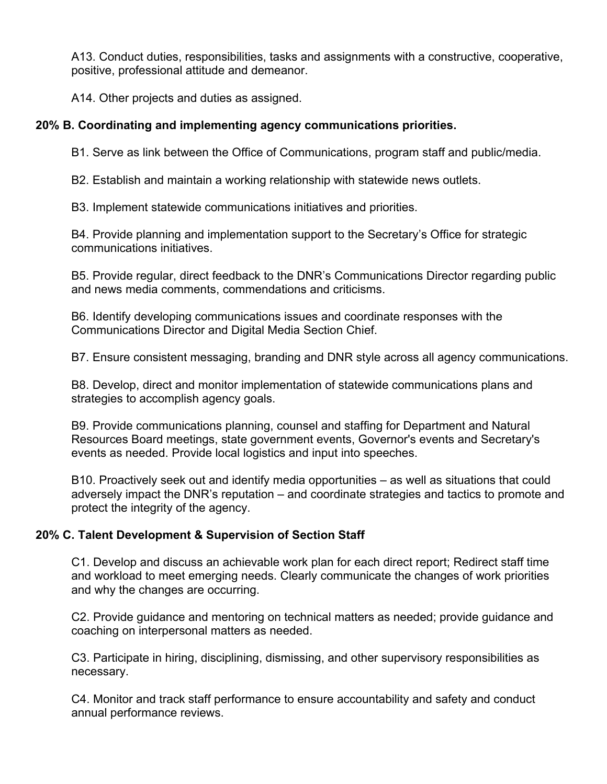A13. Conduct duties, responsibilities, tasks and assignments with a constructive, cooperative, positive, professional attitude and demeanor.

A14. Other projects and duties as assigned.

# **20% B. Coordinating and implementing agency communications priorities.**

B1. Serve as link between the Office of Communications, program staff and public/media.

B2. Establish and maintain a working relationship with statewide news outlets.

B3. Implement statewide communications initiatives and priorities.

B4. Provide planning and implementation support to the Secretary's Office for strategic communications initiatives.

B5. Provide regular, direct feedback to the DNR's Communications Director regarding public and news media comments, commendations and criticisms.

B6. Identify developing communications issues and coordinate responses with the Communications Director and Digital Media Section Chief.

B7. Ensure consistent messaging, branding and DNR style across all agency communications.

B8. Develop, direct and monitor implementation of statewide communications plans and strategies to accomplish agency goals.

B9. Provide communications planning, counsel and staffing for Department and Natural Resources Board meetings, state government events, Governor's events and Secretary's events as needed. Provide local logistics and input into speeches.

B10. Proactively seek out and identify media opportunities – as well as situations that could adversely impact the DNR's reputation – and coordinate strategies and tactics to promote and protect the integrity of the agency.

# **20% C. Talent Development & Supervision of Section Staff**

C1. Develop and discuss an achievable work plan for each direct report; Redirect staff time and workload to meet emerging needs. Clearly communicate the changes of work priorities and why the changes are occurring.

C2. Provide guidance and mentoring on technical matters as needed; provide guidance and coaching on interpersonal matters as needed.

C3. Participate in hiring, disciplining, dismissing, and other supervisory responsibilities as necessary.

C4. Monitor and track staff performance to ensure accountability and safety and conduct annual performance reviews.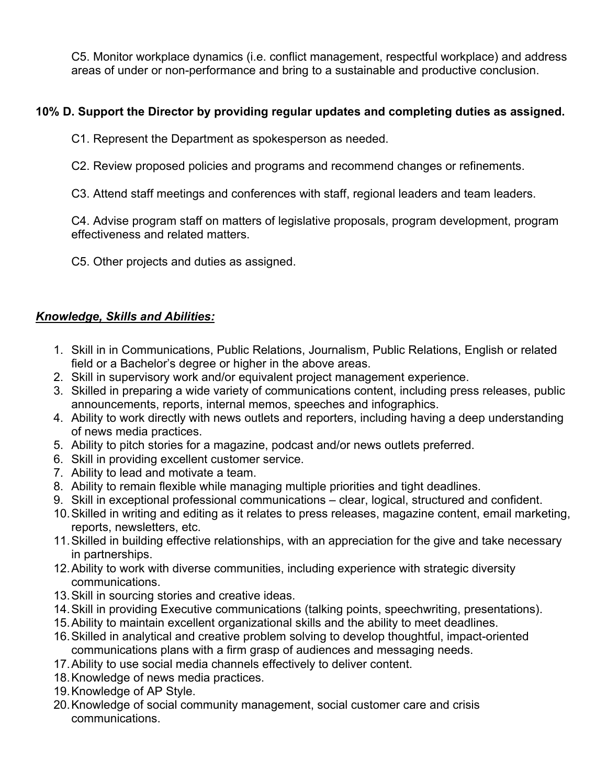C5. Monitor workplace dynamics (i.e. conflict management, respectful workplace) and address areas of under or non-performance and bring to a sustainable and productive conclusion.

# **10% D. Support the Director by providing regular updates and completing duties as assigned.**

C1. Represent the Department as spokesperson as needed.

C2. Review proposed policies and programs and recommend changes or refinements.

C3. Attend staff meetings and conferences with staff, regional leaders and team leaders.

C4. Advise program staff on matters of legislative proposals, program development, program effectiveness and related matters.

C5. Other projects and duties as assigned.

# *Knowledge, Skills and Abilities:*

- 1. Skill in in Communications, Public Relations, Journalism, Public Relations, English or related field or a Bachelor's degree or higher in the above areas.
- 2. Skill in supervisory work and/or equivalent project management experience.
- 3. Skilled in preparing a wide variety of communications content, including press releases, public announcements, reports, internal memos, speeches and infographics.
- 4. Ability to work directly with news outlets and reporters, including having a deep understanding of news media practices.
- 5. Ability to pitch stories for a magazine, podcast and/or news outlets preferred.
- 6. Skill in providing excellent customer service.
- 7. Ability to lead and motivate a team.
- 8. Ability to remain flexible while managing multiple priorities and tight deadlines.
- 9. Skill in exceptional professional communications clear, logical, structured and confident.
- 10.Skilled in writing and editing as it relates to press releases, magazine content, email marketing, reports, newsletters, etc.
- 11.Skilled in building effective relationships, with an appreciation for the give and take necessary in partnerships.
- 12.Ability to work with diverse communities, including experience with strategic diversity communications.
- 13.Skill in sourcing stories and creative ideas.
- 14.Skill in providing Executive communications (talking points, speechwriting, presentations).
- 15.Ability to maintain excellent organizational skills and the ability to meet deadlines.
- 16.Skilled in analytical and creative problem solving to develop thoughtful, impact-oriented communications plans with a firm grasp of audiences and messaging needs.
- 17.Ability to use social media channels effectively to deliver content.
- 18.Knowledge of news media practices.
- 19.Knowledge of AP Style.
- 20.Knowledge of social community management, social customer care and crisis communications.